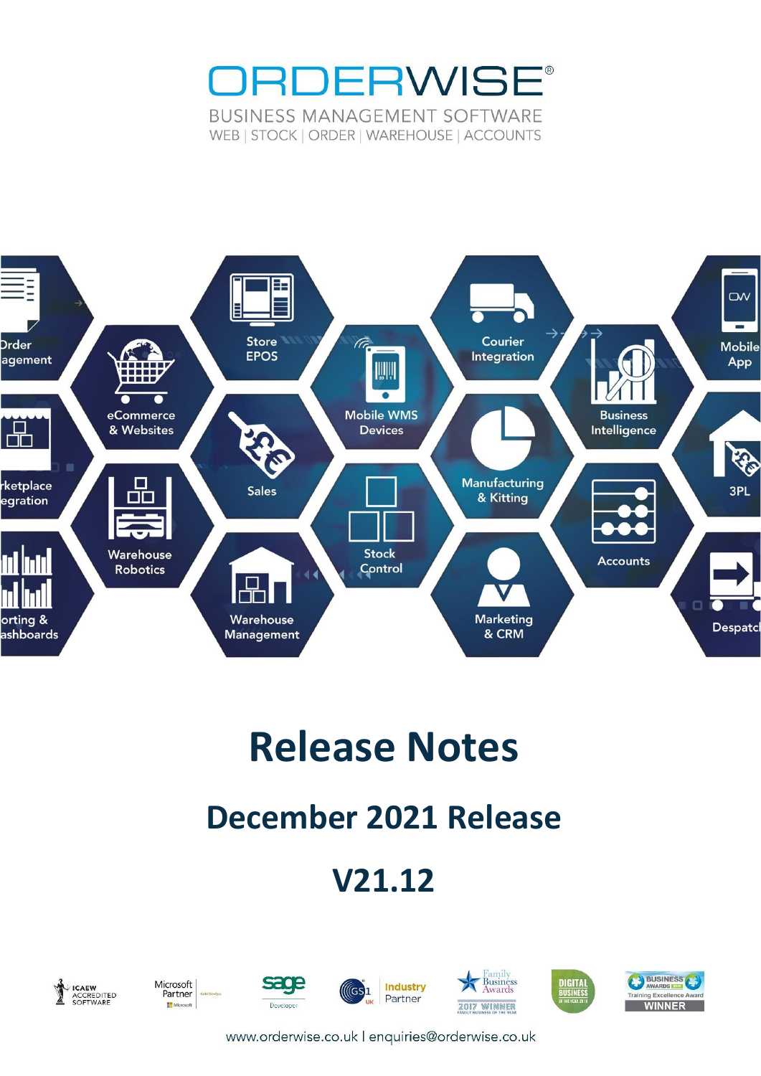



# **Release Notes**

## **December 2021 Release**

## **V21.12**



Microsoft<br>Partner **H**Mic **rosoft** 











www.orderwise.co.uk | enquiries@orderwise.co.uk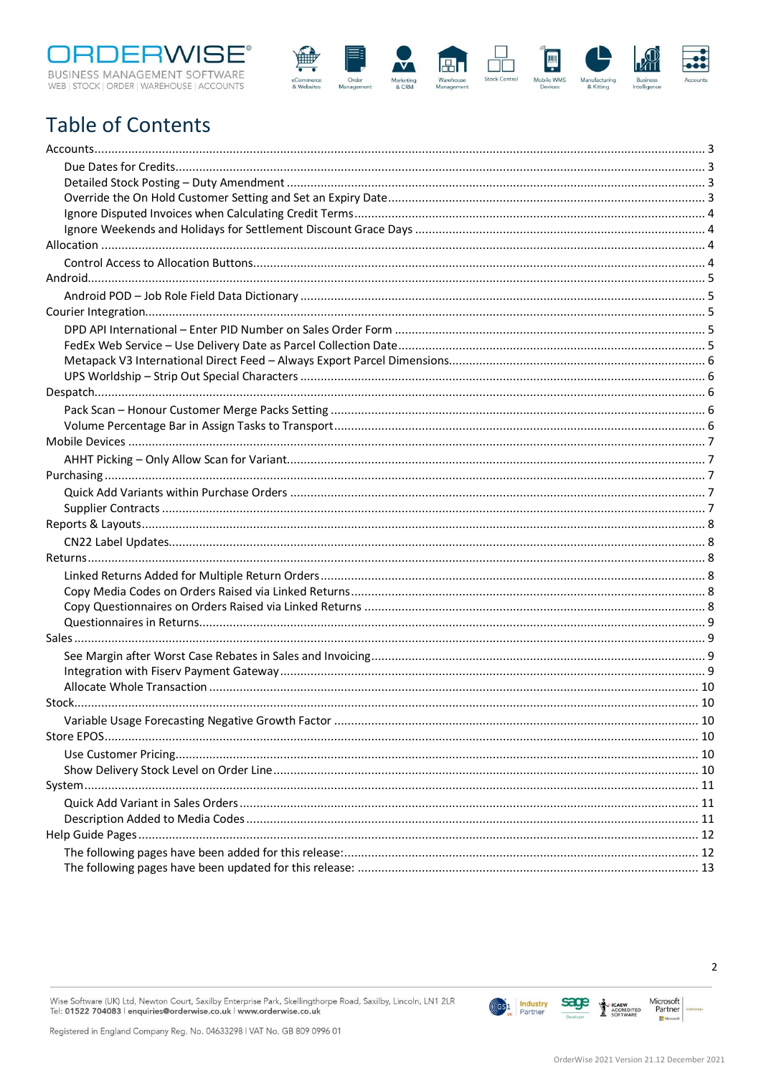



### **Table of Contents**

Wise Software (UK) Ltd, Newton Court, Saxilby Enterprise Park, Skellingthorpe Road, Saxilby, Lincoln, LN1 2LR<br>Tel: **01522 704083 | enquiries@orderwise.co.uk | www.orderwise.co.uk** 



OrderWise 2021 Version 21.12 December 2021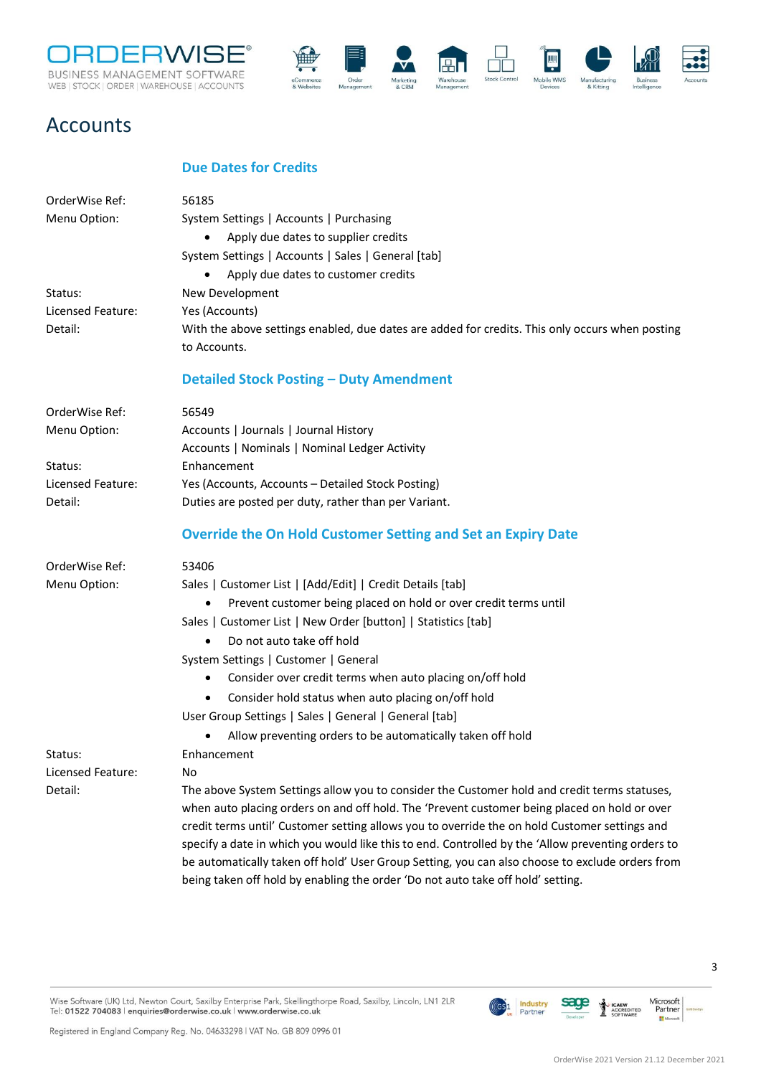



### <span id="page-2-0"></span>Accounts

#### **Due Dates for Credits**

<span id="page-2-3"></span><span id="page-2-2"></span><span id="page-2-1"></span>

| OrderWise Ref:    | 56185                                                                                             |
|-------------------|---------------------------------------------------------------------------------------------------|
| Menu Option:      | System Settings   Accounts   Purchasing                                                           |
|                   | Apply due dates to supplier credits                                                               |
|                   | System Settings   Accounts   Sales   General [tab]                                                |
|                   | Apply due dates to customer credits<br>٠                                                          |
| Status:           | New Development                                                                                   |
| Licensed Feature: | Yes (Accounts)                                                                                    |
| Detail:           | With the above settings enabled, due dates are added for credits. This only occurs when posting   |
|                   | to Accounts.                                                                                      |
|                   | <b>Detailed Stock Posting - Duty Amendment</b>                                                    |
| OrderWise Ref:    | 56549                                                                                             |
| Menu Option:      | Accounts   Journals   Journal History                                                             |
|                   | Accounts   Nominals   Nominal Ledger Activity                                                     |
| Status:           | Enhancement                                                                                       |
| Licensed Feature: | Yes (Accounts, Accounts - Detailed Stock Posting)                                                 |
| Detail:           | Duties are posted per duty, rather than per Variant.                                              |
|                   | <b>Override the On Hold Customer Setting and Set an Expiry Date</b>                               |
| OrderWise Ref:    | 53406                                                                                             |
| Menu Option:      | Sales   Customer List   [Add/Edit]   Credit Details [tab]                                         |
|                   | Prevent customer being placed on hold or over credit terms until<br>$\bullet$                     |
|                   | Sales   Customer List   New Order [button]   Statistics [tab]                                     |
|                   | Do not auto take off hold<br>$\bullet$                                                            |
|                   | System Settings   Customer   General                                                              |
|                   | Consider over credit terms when auto placing on/off hold                                          |
|                   | Consider hold status when auto placing on/off hold<br>٠                                           |
|                   | User Group Settings   Sales   General   General [tab]                                             |
|                   | Allow preventing orders to be automatically taken off hold                                        |
| Status:           | Enhancement                                                                                       |
| Licensed Feature: | No                                                                                                |
| Detail:           | The above System Settings allow you to consider the Customer hold and credit terms statuses,      |
|                   | when auto placing orders on and off hold. The 'Prevent customer being placed on hold or over      |
|                   | credit terms until' Customer setting allows you to override the on hold Customer settings and     |
|                   | specify a date in which you would like this to end. Controlled by the 'Allow preventing orders to |
|                   | be automatically taken off hold' User Group Setting, you can also choose to exclude orders from   |
|                   | being taken off hold by enabling the order 'Do not auto take off hold' setting.                   |

Wise Software (UK) Ltd, Newton Court, Saxilby Enterprise Park, Skellingthorpe Road, Saxilby, Lincoln, LN1 2LR Tel: 01522 704083 | enquiries@orderwise.co.uk | www.orderwise.co.uk

Registered in England Company Reg. No. 04633298 | VAT No. GB 809 0996 01

**Industry**<br>Partner

 $(\mathsf{G}\mathsf{S} \mathsf{1}$ 

sage

↨ **ICAEW**<br>ACCREDITED<br>SOFTWARE Microsoft<br>Partner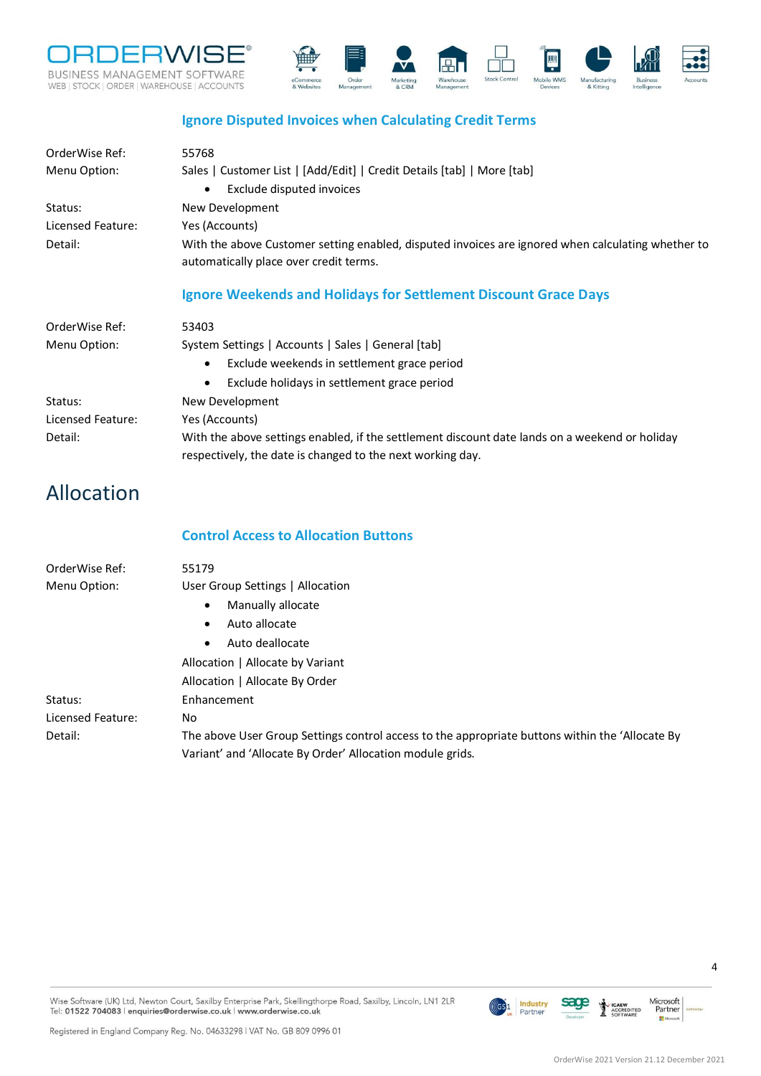



#### **Ignore Disputed Invoices when Calculating Credit Terms**

<span id="page-3-1"></span><span id="page-3-0"></span>

| OrderWise Ref:<br>Menu Option: | 55768<br>Sales   Customer List   [Add/Edit]   Credit Details [tab]   More [tab]                                                                              |
|--------------------------------|--------------------------------------------------------------------------------------------------------------------------------------------------------------|
| Status:                        | Exclude disputed invoices<br>$\bullet$<br>New Development                                                                                                    |
| Licensed Feature:              | Yes (Accounts)                                                                                                                                               |
| Detail:                        | With the above Customer setting enabled, disputed invoices are ignored when calculating whether to<br>automatically place over credit terms.                 |
|                                | Ignore Weekends and Holidays for Settlement Discount Grace Days                                                                                              |
| OrderWise Ref:                 | 53403                                                                                                                                                        |
| Menu Option:                   | System Settings   Accounts   Sales   General [tab]                                                                                                           |
|                                | Exclude weekends in settlement grace period<br>$\bullet$                                                                                                     |
|                                | Exclude holidays in settlement grace period<br>$\bullet$                                                                                                     |
| Status:                        | New Development                                                                                                                                              |
| Licensed Feature:              | Yes (Accounts)                                                                                                                                               |
| Detail:                        | With the above settings enabled, if the settlement discount date lands on a weekend or holiday<br>respectively, the date is changed to the next working day. |

### <span id="page-3-2"></span>Allocation

#### **Control Access to Allocation Buttons**

<span id="page-3-3"></span>

| OrderWise Ref:    | 55179                                                                                                                                                        |
|-------------------|--------------------------------------------------------------------------------------------------------------------------------------------------------------|
| Menu Option:      | User Group Settings   Allocation                                                                                                                             |
|                   | Manually allocate<br>$\bullet$                                                                                                                               |
|                   | Auto allocate<br>$\bullet$                                                                                                                                   |
|                   | Auto deallocate<br>$\bullet$                                                                                                                                 |
|                   | Allocation   Allocate by Variant                                                                                                                             |
|                   | Allocation   Allocate By Order                                                                                                                               |
| Status:           | Enhancement                                                                                                                                                  |
| Licensed Feature: | No                                                                                                                                                           |
| Detail:           | The above User Group Settings control access to the appropriate buttons within the 'Allocate By<br>Variant' and 'Allocate By Order' Allocation module grids. |

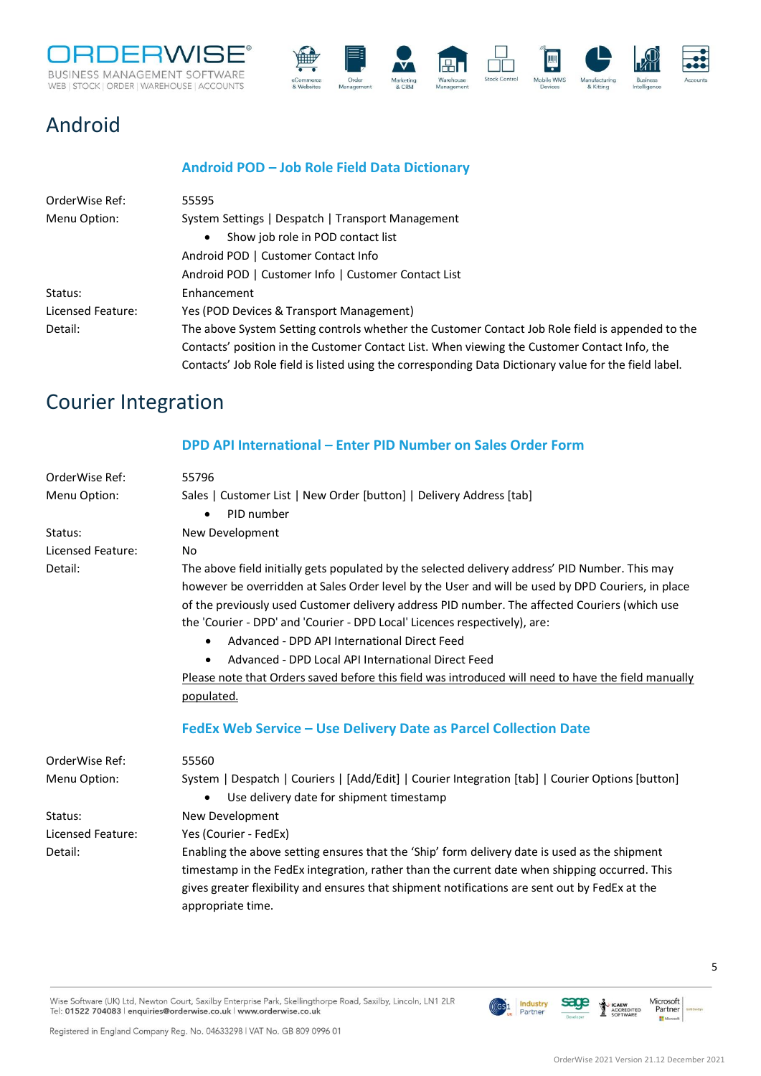



### <span id="page-4-0"></span>Android

#### **Android POD – Job Role Field Data Dictionary**

<span id="page-4-1"></span>

| OrderWise Ref:    | 55595                                                                                                 |
|-------------------|-------------------------------------------------------------------------------------------------------|
| Menu Option:      | System Settings   Despatch   Transport Management                                                     |
|                   | Show job role in POD contact list<br>$\bullet$                                                        |
|                   | Android POD   Customer Contact Info                                                                   |
|                   | Android POD   Customer Info   Customer Contact List                                                   |
| Status:           | Enhancement                                                                                           |
| Licensed Feature: | Yes (POD Devices & Transport Management)                                                              |
| Detail:           | The above System Setting controls whether the Customer Contact Job Role field is appended to the      |
|                   | Contacts' position in the Customer Contact List. When viewing the Customer Contact Info, the          |
|                   | Contacts' Job Role field is listed using the corresponding Data Dictionary value for the field label. |

### <span id="page-4-2"></span>Courier Integration

#### **DPD API International – Enter PID Number on Sales Order Form**

<span id="page-4-4"></span><span id="page-4-3"></span>

| OrderWise Ref:    | 55796                                                                                               |
|-------------------|-----------------------------------------------------------------------------------------------------|
| Menu Option:      | Sales   Customer List   New Order [button]   Delivery Address [tab]                                 |
|                   | PID number<br>$\bullet$                                                                             |
| Status:           | New Development                                                                                     |
| Licensed Feature: | No                                                                                                  |
| Detail:           | The above field initially gets populated by the selected delivery address' PID Number. This may     |
|                   | however be overridden at Sales Order level by the User and will be used by DPD Couriers, in place   |
|                   | of the previously used Customer delivery address PID number. The affected Couriers (which use       |
|                   | the 'Courier - DPD' and 'Courier - DPD Local' Licences respectively), are:                          |
|                   | Advanced - DPD API International Direct Feed<br>$\bullet$                                           |
|                   | Advanced - DPD Local API International Direct Feed                                                  |
|                   | Please note that Orders saved before this field was introduced will need to have the field manually |
|                   | populated.                                                                                          |
|                   | FedEx Web Service - Use Delivery Date as Parcel Collection Date                                     |
| OrderWise Ref:    | 55560                                                                                               |
| Menu Option:      | System   Despatch   Couriers   [Add/Edit]   Courier Integration [tab]   Courier Options [button]    |
|                   | Use delivery date for shipment timestamp<br>$\bullet$                                               |
| Status:           | New Development                                                                                     |
| Licensed Feature: | Yes (Courier - FedEx)                                                                               |
| Detail:           | Enabling the above setting ensures that the 'Ship' form delivery date is used as the shipment       |
|                   | timestamp in the FedEx integration, rather than the current date when shipping occurred. This       |
|                   | gives greater flexibility and ensures that shipment notifications are sent out by FedEx at the      |
|                   | appropriate time.                                                                                   |
|                   |                                                                                                     |

Wise Software (UK) Ltd, Newton Court, Saxilby Enterprise Park, Skellingthorpe Road, Saxilby, Lincoln, LN1 2LR Tel: 01522 704083 | enquiries@orderwise.co.uk | www.orderwise.co.uk

Registered in England Company Reg. No. 04633298 | VAT No. GB 809 0996 01

**ICAEW**<br>ACCREDITED<br>SOFTWARE

**Industry**<br>Partner

 $(GS)1$ 

**sace** 

Microsoft<br>Partner

 $\mathbf{H}^{\mathbf{N}}$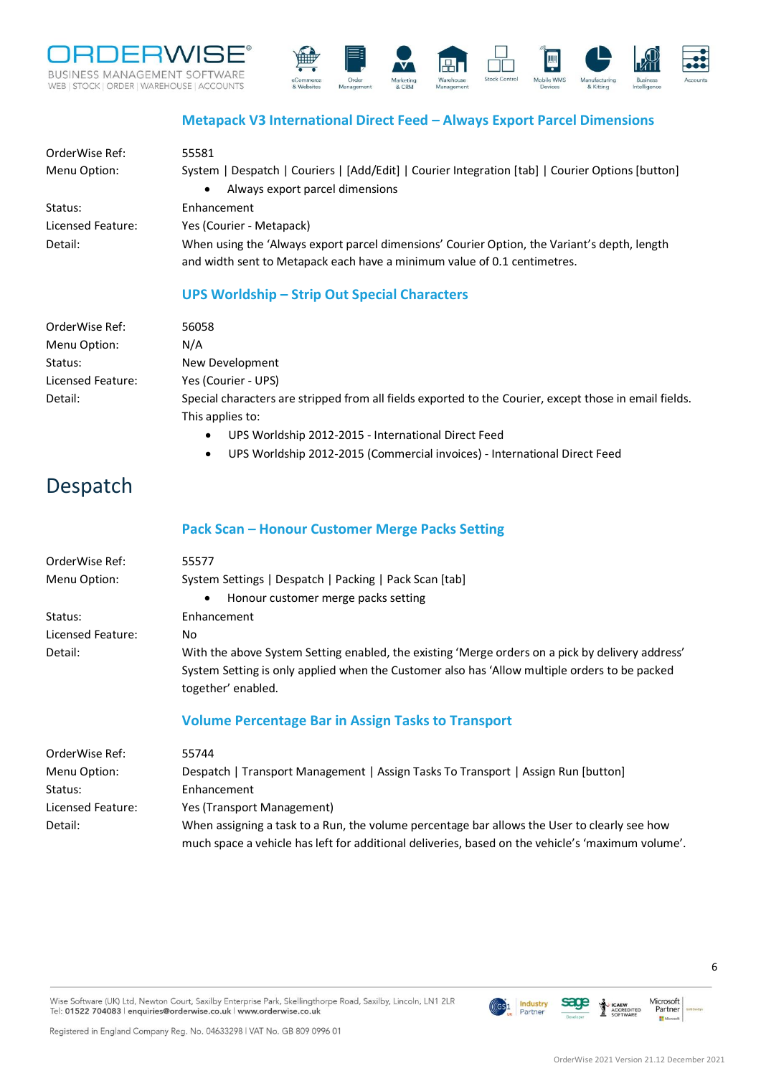



#### **Metapack V3 International Direct Feed – Always Export Parcel Dimensions**

<span id="page-5-0"></span>

| OrderWise Ref:<br>Menu Option: | 55581<br>System   Despatch   Couriers   [Add/Edit]   Courier Integration [tab]   Courier Options [button]                                                                |
|--------------------------------|--------------------------------------------------------------------------------------------------------------------------------------------------------------------------|
|                                | Always export parcel dimensions<br>$\bullet$                                                                                                                             |
| Status:                        | Enhancement                                                                                                                                                              |
| Licensed Feature:              | Yes (Courier - Metapack)                                                                                                                                                 |
| Detail:                        | When using the 'Always export parcel dimensions' Courier Option, the Variant's depth, length<br>and width sent to Metapack each have a minimum value of 0.1 centimetres. |

#### **UPS Worldship – Strip Out Special Characters**

<span id="page-5-1"></span>

| OrderWise Ref:    | 56058                                                                                                  |
|-------------------|--------------------------------------------------------------------------------------------------------|
| Menu Option:      | N/A                                                                                                    |
| Status:           | New Development                                                                                        |
| Licensed Feature: | Yes (Courier - UPS)                                                                                    |
| Detail:           | Special characters are stripped from all fields exported to the Courier, except those in email fields. |
|                   | This applies to:                                                                                       |

- UPS Worldship 2012-2015 International Direct Feed
- UPS Worldship 2012-2015 (Commercial invoices) International Direct Feed

### <span id="page-5-2"></span>Despatch

#### **Pack Scan – Honour Customer Merge Packs Setting**

<span id="page-5-3"></span>

| OrderWise Ref:    | 55577                                                                                            |
|-------------------|--------------------------------------------------------------------------------------------------|
| Menu Option:      | System Settings   Despatch   Packing   Pack Scan [tab]                                           |
|                   | Honour customer merge packs setting<br>$\bullet$                                                 |
| Status:           | Enhancement                                                                                      |
| Licensed Feature: | No.                                                                                              |
| Detail:           | With the above System Setting enabled, the existing 'Merge orders on a pick by delivery address' |
|                   | System Setting is only applied when the Customer also has 'Allow multiple orders to be packed    |
|                   | together' enabled.                                                                               |
|                   | <b>Volume Percentage Bar in Assign Tasks to Transport</b>                                        |
|                   |                                                                                                  |

<span id="page-5-4"></span>

| OrderWise Ref:    | 55744                                                                                             |
|-------------------|---------------------------------------------------------------------------------------------------|
| Menu Option:      | Despatch   Transport Management   Assign Tasks To Transport   Assign Run [button]                 |
| Status:           | Enhancement                                                                                       |
| Licensed Feature: | Yes (Transport Management)                                                                        |
| Detail:           | When assigning a task to a Run, the volume percentage bar allows the User to clearly see how      |
|                   | much space a vehicle has left for additional deliveries, based on the vehicle's 'maximum volume'. |

Wise Software (UK) Ltd, Newton Court, Saxilby Enterprise Park, Skellingthorpe Road, Saxilby, Lincoln, LN1 2LR Tel: 01522 704083 | enquiries@orderwise.co.uk | www.orderwise.co.uk

Registered in England Company Reg. No. 04633298 | VAT No. GB 809 0996 01

ACCREDITED

sage

**Industry**<br>Partner

 $(GS)1$ 

Microsoft<br>Partner

H.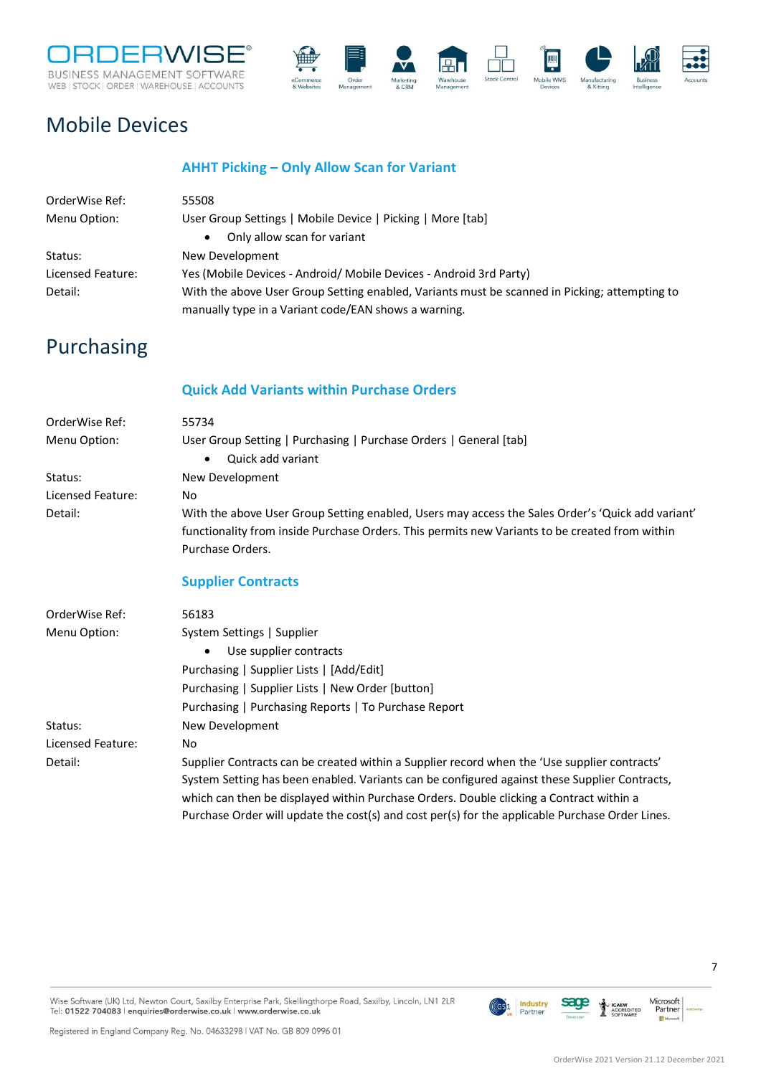



### <span id="page-6-0"></span>Mobile Devices

#### **AHHT Picking – Only Allow Scan for Variant**

<span id="page-6-1"></span>

| OrderWise Ref:    | 55508                                                                                         |
|-------------------|-----------------------------------------------------------------------------------------------|
| Menu Option:      | User Group Settings   Mobile Device   Picking   More [tab]                                    |
|                   | Only allow scan for variant                                                                   |
| Status:           | New Development                                                                               |
| Licensed Feature: | Yes (Mobile Devices - Android/ Mobile Devices - Android 3rd Party)                            |
| Detail:           | With the above User Group Setting enabled, Variants must be scanned in Picking; attempting to |
|                   | manually type in a Variant code/EAN shows a warning.                                          |

### <span id="page-6-2"></span>Purchasing

#### **Quick Add Variants within Purchase Orders**

<span id="page-6-4"></span><span id="page-6-3"></span>

| OrderWise Ref:    | 55734                                                                                                                                                                                                                                                                                                                                                                                       |
|-------------------|---------------------------------------------------------------------------------------------------------------------------------------------------------------------------------------------------------------------------------------------------------------------------------------------------------------------------------------------------------------------------------------------|
| Menu Option:      | User Group Setting   Purchasing   Purchase Orders   General [tab]                                                                                                                                                                                                                                                                                                                           |
|                   | Quick add variant<br>$\bullet$                                                                                                                                                                                                                                                                                                                                                              |
| Status:           | New Development                                                                                                                                                                                                                                                                                                                                                                             |
| Licensed Feature: | No                                                                                                                                                                                                                                                                                                                                                                                          |
| Detail:           | With the above User Group Setting enabled, Users may access the Sales Order's 'Quick add variant'                                                                                                                                                                                                                                                                                           |
|                   | functionality from inside Purchase Orders. This permits new Variants to be created from within                                                                                                                                                                                                                                                                                              |
|                   | Purchase Orders.                                                                                                                                                                                                                                                                                                                                                                            |
|                   | <b>Supplier Contracts</b>                                                                                                                                                                                                                                                                                                                                                                   |
| OrderWise Ref:    | 56183                                                                                                                                                                                                                                                                                                                                                                                       |
| Menu Option:      | System Settings   Supplier                                                                                                                                                                                                                                                                                                                                                                  |
|                   | Use supplier contracts<br>$\bullet$                                                                                                                                                                                                                                                                                                                                                         |
|                   | Purchasing   Supplier Lists   [Add/Edit]                                                                                                                                                                                                                                                                                                                                                    |
|                   | Purchasing   Supplier Lists   New Order [button]                                                                                                                                                                                                                                                                                                                                            |
|                   | Purchasing   Purchasing Reports   To Purchase Report                                                                                                                                                                                                                                                                                                                                        |
| Status:           | New Development                                                                                                                                                                                                                                                                                                                                                                             |
| Licensed Feature: | No                                                                                                                                                                                                                                                                                                                                                                                          |
| Detail:           | Supplier Contracts can be created within a Supplier record when the 'Use supplier contracts'<br>System Setting has been enabled. Variants can be configured against these Supplier Contracts,<br>which can then be displayed within Purchase Orders. Double clicking a Contract within a<br>Purchase Order will update the cost(s) and cost per(s) for the applicable Purchase Order Lines. |
|                   |                                                                                                                                                                                                                                                                                                                                                                                             |



Registered in England Company Reg. No. 04633298 | VAT No. GB 809 0996 01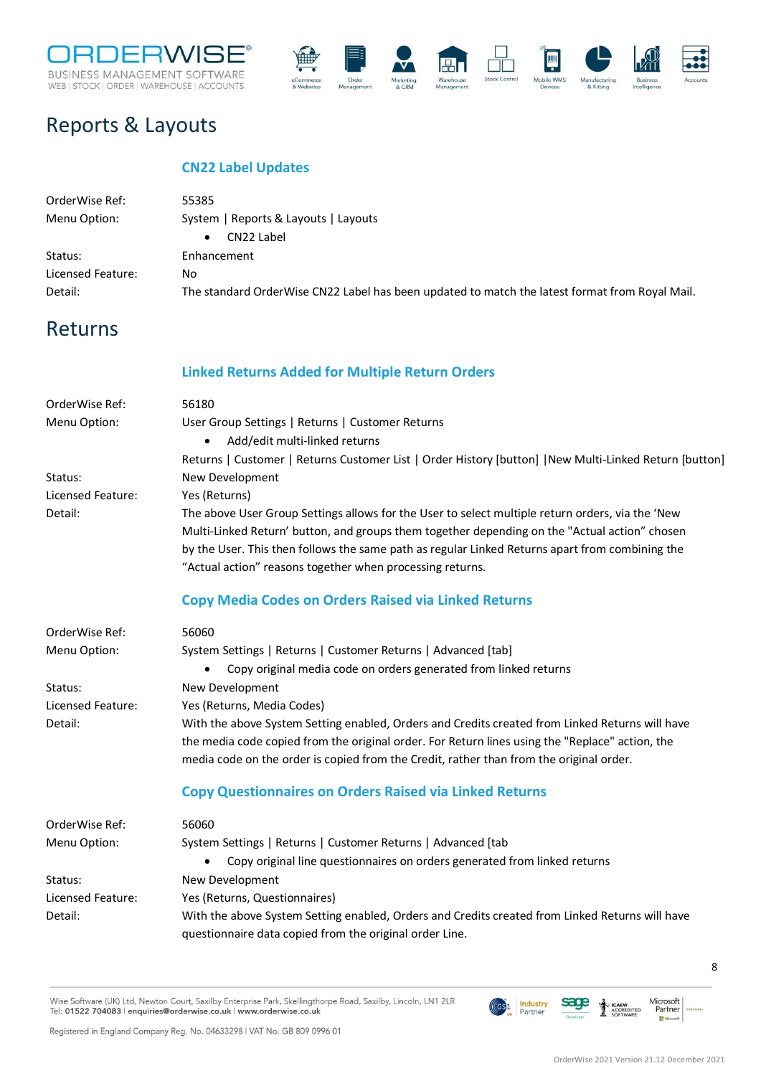



### <span id="page-7-0"></span>Reports & Layouts

#### **CN22 Label Updates**

<span id="page-7-1"></span>

| OrderWise Ref:    | 55385                                                                                          |
|-------------------|------------------------------------------------------------------------------------------------|
| Menu Option:      | System   Reports & Layouts   Layouts                                                           |
|                   | CN22 Label<br>$\bullet$                                                                        |
| Status:           | Enhancement                                                                                    |
| Licensed Feature: | No.                                                                                            |
| Detail:           | The standard OrderWise CN22 Label has been updated to match the latest format from Royal Mail. |

### <span id="page-7-2"></span>Returns

#### **Linked Returns Added for Multiple Return Orders**

<span id="page-7-4"></span><span id="page-7-3"></span>

| OrderWise Ref:    | 56180                                                                                                  |
|-------------------|--------------------------------------------------------------------------------------------------------|
| Menu Option:      | User Group Settings   Returns   Customer Returns                                                       |
|                   | Add/edit multi-linked returns                                                                          |
|                   | Returns   Customer   Returns Customer List   Order History [button]   New Multi-Linked Return [button] |
| Status:           | New Development                                                                                        |
| Licensed Feature: | Yes (Returns)                                                                                          |
| Detail:           | The above User Group Settings allows for the User to select multiple return orders, via the 'New       |
|                   | Multi-Linked Return' button, and groups them together depending on the "Actual action" chosen          |
|                   | by the User. This then follows the same path as regular Linked Returns apart from combining the        |
|                   | "Actual action" reasons together when processing returns.                                              |
|                   | <b>Copy Media Codes on Orders Raised via Linked Returns</b>                                            |
| OrderWise Ref:    | 56060                                                                                                  |
| Menu Option:      | System Settings   Returns   Customer Returns   Advanced [tab]                                          |
|                   | Copy original media code on orders generated from linked returns                                       |
| Status:           | New Development                                                                                        |
| Licensed Feature: | Yes (Returns, Media Codes)                                                                             |
| Detail:           | With the above System Setting enabled, Orders and Credits created from Linked Returns will have        |
|                   | the media code copied from the original order. For Return lines using the "Replace" action, the        |
|                   | media code on the order is copied from the Credit, rather than from the original order.                |
|                   | <b>Copy Questionnaires on Orders Raised via Linked Returns</b>                                         |
| OrderWise Ref:    | 56060                                                                                                  |
| Menu Option:      | System Settings   Returns   Customer Returns   Advanced [tab                                           |
|                   | Copy original line questionnaires on orders generated from linked returns                              |
| Status:           | New Development                                                                                        |
| Licensed Feature: | Yes (Returns, Questionnaires)                                                                          |
| Detail:           | With the above System Setting enabled, Orders and Credits created from Linked Returns will have        |
|                   | questionnaire data copied from the original order Line.                                                |
|                   |                                                                                                        |

<span id="page-7-5"></span>Wise Software (UK) Ltd, Newton Court, Saxilby Enterprise Park, Skellingthorpe Road, Saxilby, Lincoln, LN1 2LR Tel: 01522 704083 | enquiries@orderwise.co.uk | www.orderwise.co.uk

Registered in England Company Reg. No. 04633298 | VAT No. GB 809 0996 01

(GS<sup>1</sup> Industry

sage

Î **ICAEW**<br>ACCREDITED<br>SOFTWARE Microsoft<br>Partner

 $\mathbf{H}^{\mathbf{N}}$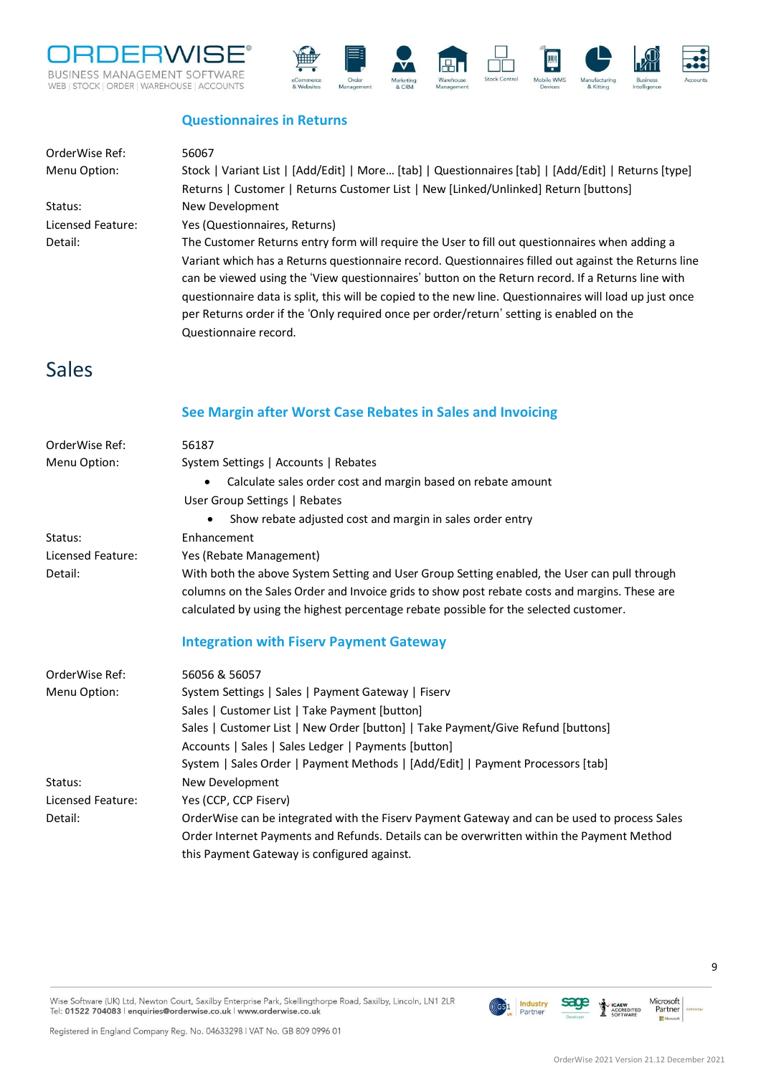



#### **Questionnaires in Returns**

<span id="page-8-0"></span>

| OrderWise Ref:    | 56067                                                                                                   |
|-------------------|---------------------------------------------------------------------------------------------------------|
| Menu Option:      | Stock   Variant List   [Add/Edit]   More [tab]   Questionnaires [tab]   [Add/Edit]   Returns [type]     |
|                   | Returns   Customer   Returns Customer List   New [Linked/Unlinked] Return [buttons]                     |
| Status:           | New Development                                                                                         |
| Licensed Feature: | Yes (Questionnaires, Returns)                                                                           |
| Detail:           | The Customer Returns entry form will require the User to fill out questionnaires when adding a          |
|                   | Variant which has a Returns questionnaire record. Questionnaires filled out against the Returns line    |
|                   | can be viewed using the 'View questionnaires' button on the Return record. If a Returns line with       |
|                   | questionnaire data is split, this will be copied to the new line. Questionnaires will load up just once |
|                   | per Returns order if the 'Only required once per order/return' setting is enabled on the                |
|                   | Questionnaire record.                                                                                   |

### <span id="page-8-1"></span>Sales

#### **See Margin after Worst Case Rebates in Sales and Invoicing**

<span id="page-8-3"></span><span id="page-8-2"></span>

| OrderWise Ref:    | 56187                                                                                         |
|-------------------|-----------------------------------------------------------------------------------------------|
| Menu Option:      | System Settings   Accounts   Rebates                                                          |
|                   | Calculate sales order cost and margin based on rebate amount                                  |
|                   | User Group Settings   Rebates                                                                 |
|                   | Show rebate adjusted cost and margin in sales order entry                                     |
| Status:           | Enhancement                                                                                   |
| Licensed Feature: | Yes (Rebate Management)                                                                       |
| Detail:           | With both the above System Setting and User Group Setting enabled, the User can pull through  |
|                   | columns on the Sales Order and Invoice grids to show post rebate costs and margins. These are |
|                   | calculated by using the highest percentage rebate possible for the selected customer.         |
|                   | <b>Integration with Fiserv Payment Gateway</b>                                                |
| OrderWise Ref:    | 56056 & 56057                                                                                 |
| Menu Option:      | System Settings   Sales   Payment Gateway   Fiserv                                            |
|                   | Sales   Customer List   Take Payment [button]                                                 |
|                   | Sales   Customer List   New Order [button]   Take Payment/Give Refund [buttons]               |
|                   | Accounts   Sales   Sales Ledger   Payments [button]                                           |
|                   | System   Sales Order   Payment Methods   [Add/Edit]   Payment Processors [tab]                |
| Status:           | New Development                                                                               |
| Licensed Feature: | Yes (CCP, CCP Fiserv)                                                                         |
| Detail:           | OrderWise can be integrated with the Fiserv Payment Gateway and can be used to process Sales  |
|                   | Order Internet Payments and Refunds. Details can be overwritten within the Payment Method     |
|                   | this Payment Gateway is configured against.                                                   |

**Industry**<br>Partner

 $(\mathsf{G}\mathsf{S} \mathsf{1}$ 

sage

1 **ICAEW**<br>ACCREDITED<br>SOFTWARE Microsoft<br>Partner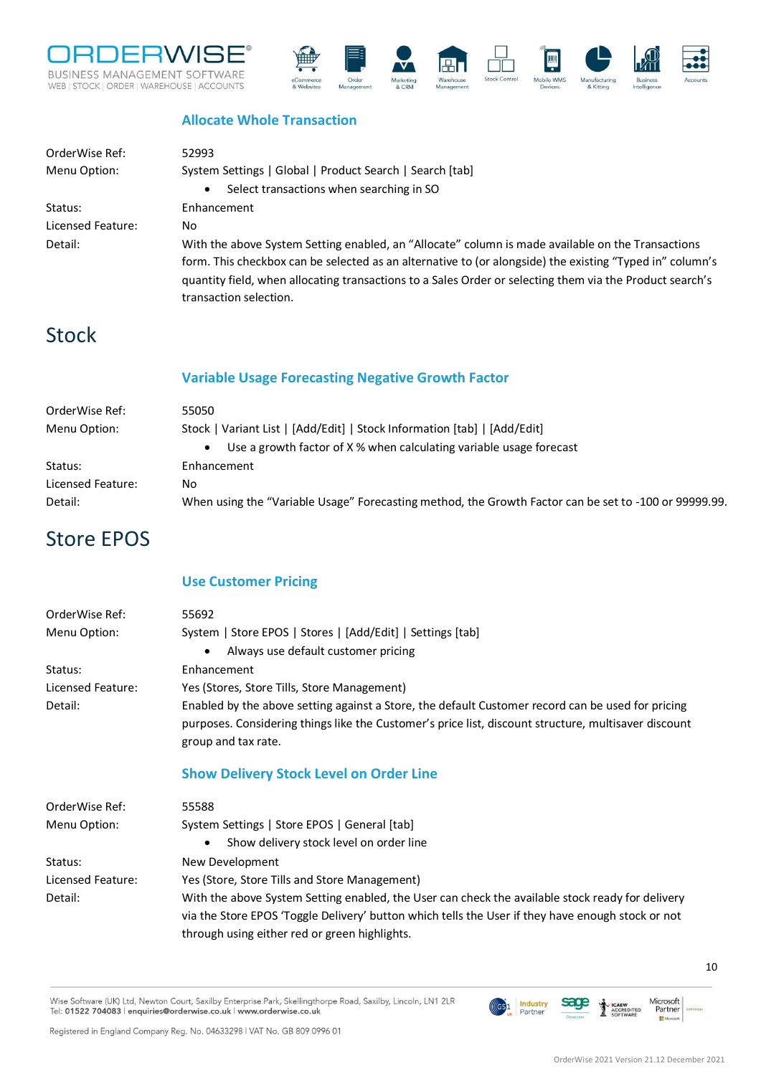



#### **Allocate Whole Transaction**

<span id="page-9-0"></span>

| OrderWise Ref:    | 52993                                                                                                    |
|-------------------|----------------------------------------------------------------------------------------------------------|
| Menu Option:      | System Settings   Global   Product Search   Search [tab]                                                 |
|                   | Select transactions when searching in SO<br>$\bullet$                                                    |
| Status:           | Enhancement                                                                                              |
| Licensed Feature: | No.                                                                                                      |
| Detail:           | With the above System Setting enabled, an "Allocate" column is made available on the Transactions        |
|                   | form. This checkbox can be selected as an alternative to (or alongside) the existing "Typed in" column's |
|                   | guantity field, when allocating transactions to a Sales Order or selecting them via the Product search's |
|                   | transaction selection.                                                                                   |

### <span id="page-9-1"></span>Stock

#### **Variable Usage Forecasting Negative Growth Factor**

<span id="page-9-2"></span>

| OrderWise Ref:    | 55050                                                                                                 |
|-------------------|-------------------------------------------------------------------------------------------------------|
| Menu Option:      | Stock   Variant List   [Add/Edit]   Stock Information [tab]   [Add/Edit]                              |
|                   | Use a growth factor of X % when calculating variable usage forecast<br>$\bullet$                      |
| Status:           | Enhancement                                                                                           |
| Licensed Feature: | No.                                                                                                   |
| Detail:           | When using the "Variable Usage" Forecasting method, the Growth Factor can be set to -100 or 99999.99. |
|                   |                                                                                                       |

### <span id="page-9-3"></span>Store EPOS

#### **Use Customer Pricing**

<span id="page-9-5"></span><span id="page-9-4"></span>

| OrderWise Ref:    | 55692                                                                                                                                                                                                                                                  |
|-------------------|--------------------------------------------------------------------------------------------------------------------------------------------------------------------------------------------------------------------------------------------------------|
| Menu Option:      | System   Store EPOS   Stores   [Add/Edit]   Settings [tab]                                                                                                                                                                                             |
|                   | Always use default customer pricing<br>$\bullet$                                                                                                                                                                                                       |
| Status:           | Enhancement                                                                                                                                                                                                                                            |
| Licensed Feature: | Yes (Stores, Store Tills, Store Management)                                                                                                                                                                                                            |
| Detail:           | Enabled by the above setting against a Store, the default Customer record can be used for pricing<br>purposes. Considering things like the Customer's price list, discount structure, multisaver discount<br>group and tax rate.                       |
|                   | <b>Show Delivery Stock Level on Order Line</b>                                                                                                                                                                                                         |
| OrderWise Ref:    | 55588                                                                                                                                                                                                                                                  |
| Menu Option:      | System Settings   Store EPOS   General [tab]                                                                                                                                                                                                           |
|                   | Show delivery stock level on order line<br>$\bullet$                                                                                                                                                                                                   |
| Status:           | New Development                                                                                                                                                                                                                                        |
| Licensed Feature: | Yes (Store, Store Tills and Store Management)                                                                                                                                                                                                          |
| Detail:           | With the above System Setting enabled, the User can check the available stock ready for delivery<br>via the Store EPOS 'Toggle Delivery' button which tells the User if they have enough stock or not<br>through using either red or green highlights. |

Wise Software (UK) Ltd, Newton Court, Saxilby Enterprise Park, Skellingthorpe Road, Saxilby, Lincoln, LN1 2LR Tel: 01522 704083 | enquiries@orderwise.co.uk | www.orderwise.co.uk

Registered in England Company Reg. No. 04633298 | VAT No. GB 809 0996 01

**ICAEW**<br>ACCREDITED<br>SOFTWARE

**Industry**<br>Partner

 $(GS)1$ 

sage

Microsoft<br>Partner

H.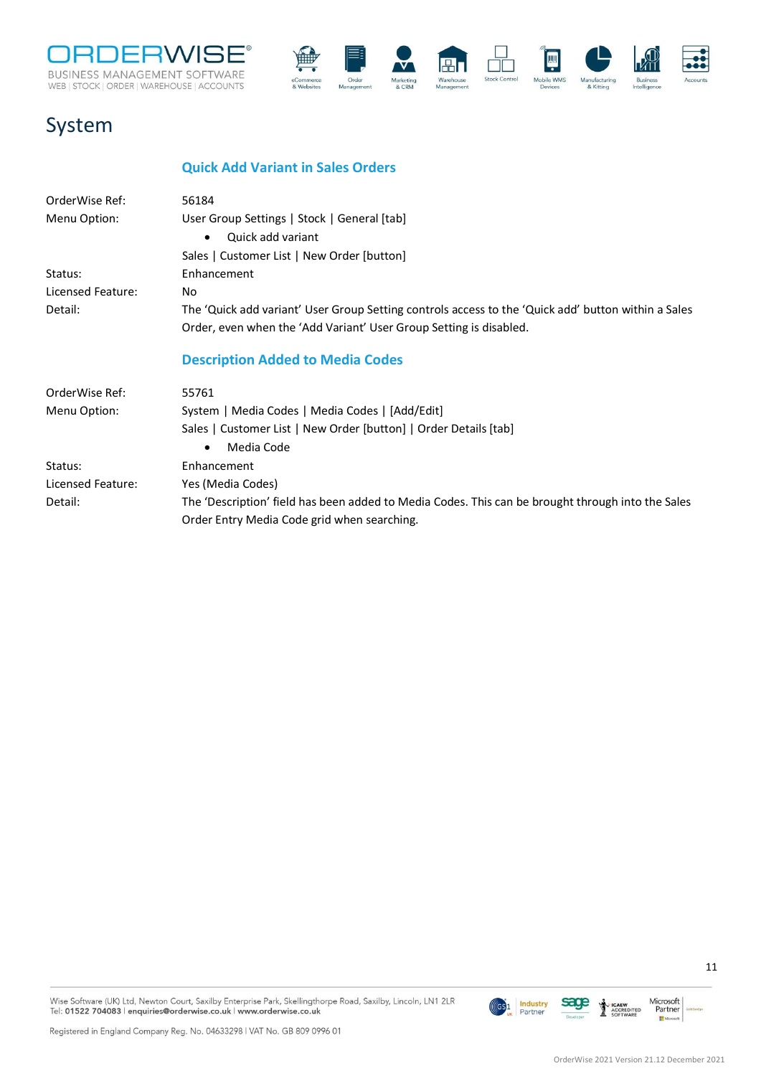



### <span id="page-10-0"></span>System

#### **Quick Add Variant in Sales Orders**

<span id="page-10-2"></span><span id="page-10-1"></span>

| OrderWise Ref:    | 56184                                                                                               |
|-------------------|-----------------------------------------------------------------------------------------------------|
| Menu Option:      | User Group Settings   Stock   General [tab]                                                         |
|                   | Quick add variant<br>$\bullet$                                                                      |
|                   | Sales   Customer List   New Order [button]                                                          |
| Status:           | Enhancement                                                                                         |
| Licensed Feature: | No                                                                                                  |
| Detail:           | The 'Quick add variant' User Group Setting controls access to the 'Quick add' button within a Sales |
|                   | Order, even when the 'Add Variant' User Group Setting is disabled.                                  |
|                   | <b>Description Added to Media Codes</b>                                                             |
| OrderWise Ref:    | 55761                                                                                               |
| Menu Option:      | System   Media Codes   Media Codes   [Add/Edit]                                                     |
|                   | Sales   Customer List   New Order [button]   Order Details [tab]                                    |
|                   | Media Code<br>$\bullet$                                                                             |
| Status:           | Enhancement                                                                                         |
| Licensed Feature: | Yes (Media Codes)                                                                                   |
| Detail:           | The 'Description' field has been added to Media Codes. This can be brought through into the Sales   |
|                   | Order Entry Media Code grid when searching.                                                         |

Registered in England Company Reg. No. 04633298 | VAT No. GB 809 0996 01



OrderWise 2021 Version 21.12 December 2021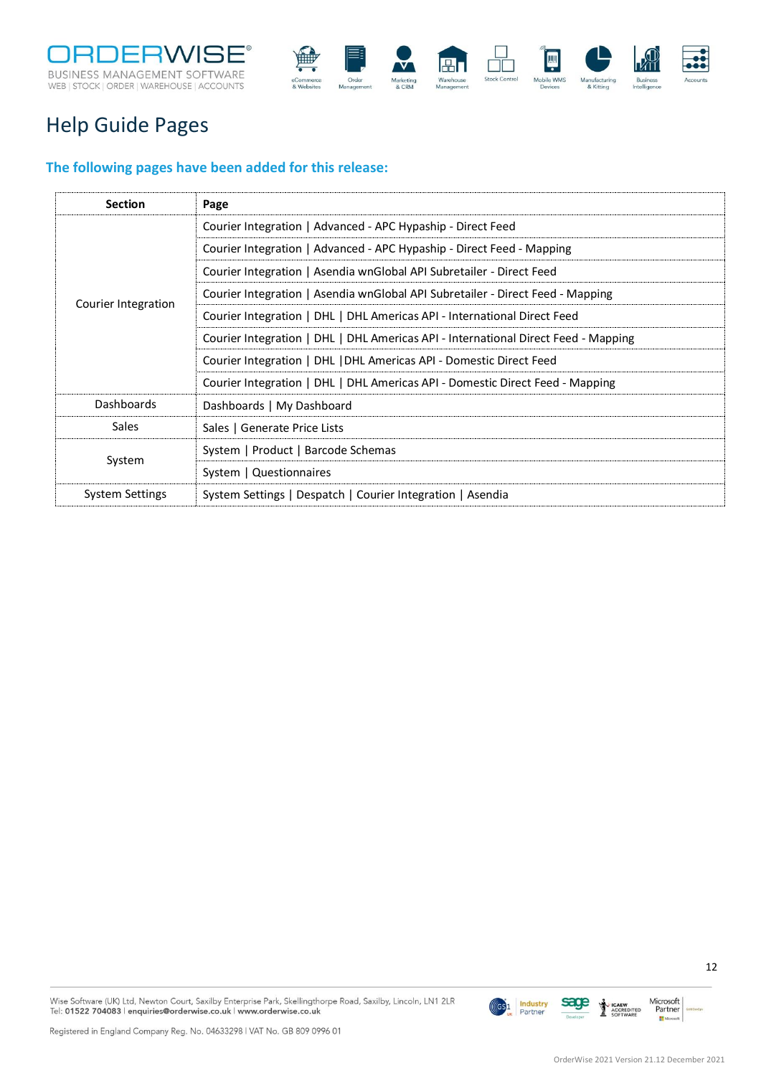



### <span id="page-11-0"></span>Help Guide Pages

#### <span id="page-11-1"></span>**The following pages have been added for this release:**

| <b>Section</b>      | Page                                                                               |
|---------------------|------------------------------------------------------------------------------------|
|                     | Courier Integration   Advanced - APC Hypaship - Direct Feed                        |
|                     | Courier Integration   Advanced - APC Hypaship - Direct Feed - Mapping              |
|                     | Courier Integration   Asendia wnGlobal API Subretailer - Direct Feed               |
| Courier Integration | Courier Integration   Asendia wnGlobal API Subretailer - Direct Feed - Mapping     |
|                     | Courier Integration   DHL   DHL Americas API - International Direct Feed           |
|                     | Courier Integration   DHL   DHL Americas API - International Direct Feed - Mapping |
|                     | Courier Integration   DHL   DHL Americas API - Domestic Direct Feed                |
|                     | Courier Integration   DHL   DHL Americas API - Domestic Direct Feed - Mapping      |
| Dashboards          | Dashboards   My Dashboard                                                          |
| Sales               | Sales   Generate Price Lists                                                       |
| System              | System   Product   Barcode Schemas                                                 |
|                     | System   Questionnaires                                                            |
| System Settings     | System Settings   Despatch   Courier Integration   Asendia                         |